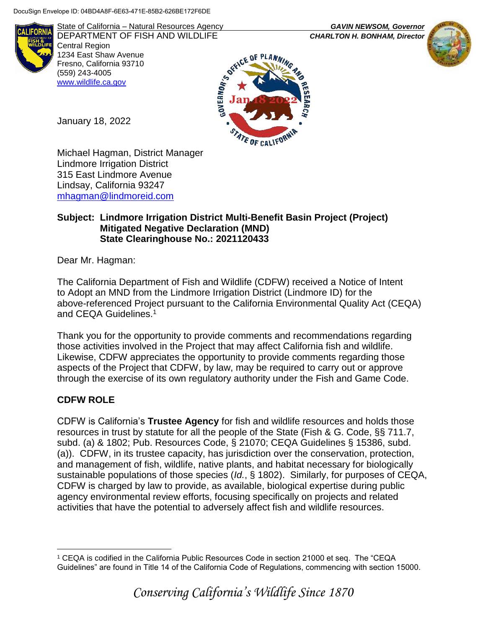

State of California – Natural Resources Agency *GAVIN NEWSOM, Governor* DEPARTMENT OF FISH AND WILDLIFE *CHARLTON H. BONHAM, Director*  Central Region 1234 East Shaw Avenue Fresno, California 93710 (559) 243-4005 [www.wildlife.ca.gov](http://www.cdfw.ca.gov/)



January 18, 2022

Michael Hagman, District Manager Lindmore Irrigation District 315 East Lindmore Avenue Lindsay, California 93247 [mhagman@lindmoreid.com](mailto:mhagman@lindmoreid.com)

### **Subject: Lindmore Irrigation District Multi-Benefit Basin Project (Project) Mitigated Negative Declaration (MND) State Clearinghouse No.: 2021120433**

Dear Mr. Hagman:

The California Department of Fish and Wildlife (CDFW) received a Notice of Intent to Adopt an MND from the Lindmore Irrigation District (Lindmore ID) for the above-referenced Project pursuant to the California Environmental Quality Act (CEQA) and CEQA Guidelines.<sup>1</sup>

Thank you for the opportunity to provide comments and recommendations regarding those activities involved in the Project that may affect California fish and wildlife. Likewise, CDFW appreciates the opportunity to provide comments regarding those aspects of the Project that CDFW, by law, may be required to carry out or approve through the exercise of its own regulatory authority under the Fish and Game Code.

# **CDFW ROLE**

CDFW is California's **Trustee Agency** for fish and wildlife resources and holds those resources in trust by statute for all the people of the State (Fish & G. Code, §§ 711.7, subd. (a) & 1802; Pub. Resources Code, § 21070; CEQA Guidelines § 15386, subd. (a)). CDFW, in its trustee capacity, has jurisdiction over the conservation, protection, and management of fish, wildlife, native plants, and habitat necessary for biologically sustainable populations of those species (*Id.*, § 1802). Similarly, for purposes of CEQA, CDFW is charged by law to provide, as available, biological expertise during public agency environmental review efforts, focusing specifically on projects and related activities that have the potential to adversely affect fish and wildlife resources.

 $\overline{a}$ <sup>1</sup> CEQA is codified in the California Public Resources Code in section 21000 et seq. The "CEQA Guidelines" are found in Title 14 of the California Code of Regulations, commencing with section 15000.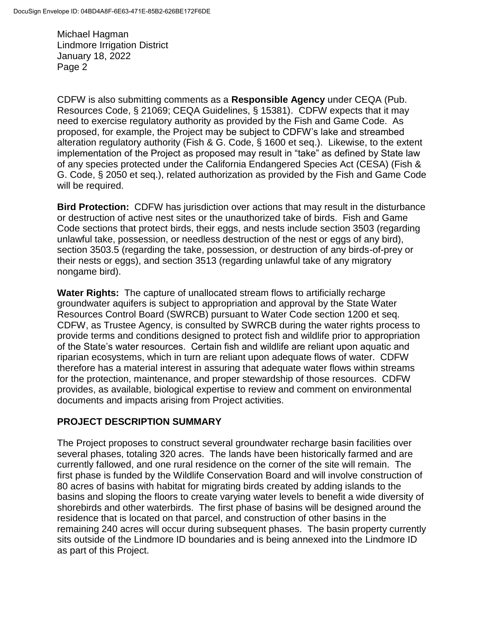CDFW is also submitting comments as a **Responsible Agency** under CEQA (Pub. Resources Code, § 21069; CEQA Guidelines, § 15381). CDFW expects that it may need to exercise regulatory authority as provided by the Fish and Game Code. As proposed, for example, the Project may be subject to CDFW's lake and streambed alteration regulatory authority (Fish & G. Code, § 1600 et seq.). Likewise, to the extent implementation of the Project as proposed may result in "take" as defined by State law of any species protected under the California Endangered Species Act (CESA) (Fish & G. Code, § 2050 et seq.), related authorization as provided by the Fish and Game Code will be required.

**Bird Protection:** CDFW has jurisdiction over actions that may result in the disturbance or destruction of active nest sites or the unauthorized take of birds. Fish and Game Code sections that protect birds, their eggs, and nests include section 3503 (regarding unlawful take, possession, or needless destruction of the nest or eggs of any bird), section 3503.5 (regarding the take, possession, or destruction of any birds-of-prey or their nests or eggs), and section 3513 (regarding unlawful take of any migratory nongame bird).

**Water Rights:** The capture of unallocated stream flows to artificially recharge groundwater aquifers is subject to appropriation and approval by the State Water Resources Control Board (SWRCB) pursuant to Water Code section 1200 et seq. CDFW, as Trustee Agency, is consulted by SWRCB during the water rights process to provide terms and conditions designed to protect fish and wildlife prior to appropriation of the State's water resources. Certain fish and wildlife are reliant upon aquatic and riparian ecosystems, which in turn are reliant upon adequate flows of water. CDFW therefore has a material interest in assuring that adequate water flows within streams for the protection, maintenance, and proper stewardship of those resources. CDFW provides, as available, biological expertise to review and comment on environmental documents and impacts arising from Project activities.

## **PROJECT DESCRIPTION SUMMARY**

The Project proposes to construct several groundwater recharge basin facilities over several phases, totaling 320 acres. The lands have been historically farmed and are currently fallowed, and one rural residence on the corner of the site will remain. The first phase is funded by the Wildlife Conservation Board and will involve construction of 80 acres of basins with habitat for migrating birds created by adding islands to the basins and sloping the floors to create varying water levels to benefit a wide diversity of shorebirds and other waterbirds. The first phase of basins will be designed around the residence that is located on that parcel, and construction of other basins in the remaining 240 acres will occur during subsequent phases. The basin property currently sits outside of the Lindmore ID boundaries and is being annexed into the Lindmore ID as part of this Project.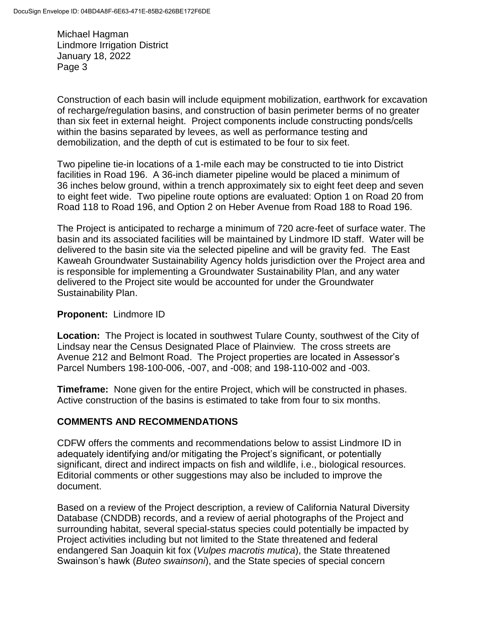Construction of each basin will include equipment mobilization, earthwork for excavation of recharge/regulation basins, and construction of basin perimeter berms of no greater than six feet in external height. Project components include constructing ponds/cells within the basins separated by levees, as well as performance testing and demobilization, and the depth of cut is estimated to be four to six feet.

Two pipeline tie-in locations of a 1-mile each may be constructed to tie into District facilities in Road 196. A 36-inch diameter pipeline would be placed a minimum of 36 inches below ground, within a trench approximately six to eight feet deep and seven to eight feet wide. Two pipeline route options are evaluated: Option 1 on Road 20 from Road 118 to Road 196, and Option 2 on Heber Avenue from Road 188 to Road 196.

The Project is anticipated to recharge a minimum of 720 acre-feet of surface water. The basin and its associated facilities will be maintained by Lindmore ID staff. Water will be delivered to the basin site via the selected pipeline and will be gravity fed. The East Kaweah Groundwater Sustainability Agency holds jurisdiction over the Project area and is responsible for implementing a Groundwater Sustainability Plan, and any water delivered to the Project site would be accounted for under the Groundwater Sustainability Plan.

### **Proponent:** Lindmore ID

**Location:** The Project is located in southwest Tulare County, southwest of the City of Lindsay near the Census Designated Place of Plainview. The cross streets are Avenue 212 and Belmont Road. The Project properties are located in Assessor's Parcel Numbers 198-100-006, -007, and -008; and 198-110-002 and -003.

**Timeframe:** None given for the entire Project, which will be constructed in phases. Active construction of the basins is estimated to take from four to six months.

### **COMMENTS AND RECOMMENDATIONS**

CDFW offers the comments and recommendations below to assist Lindmore ID in adequately identifying and/or mitigating the Project's significant, or potentially significant, direct and indirect impacts on fish and wildlife, i.e., biological resources. Editorial comments or other suggestions may also be included to improve the document.

Based on a review of the Project description, a review of California Natural Diversity Database (CNDDB) records, and a review of aerial photographs of the Project and surrounding habitat, several special-status species could potentially be impacted by Project activities including but not limited to the State threatened and federal endangered San Joaquin kit fox (*Vulpes macrotis mutica*), the State threatened Swainson's hawk (*Buteo swainsoni*), and the State species of special concern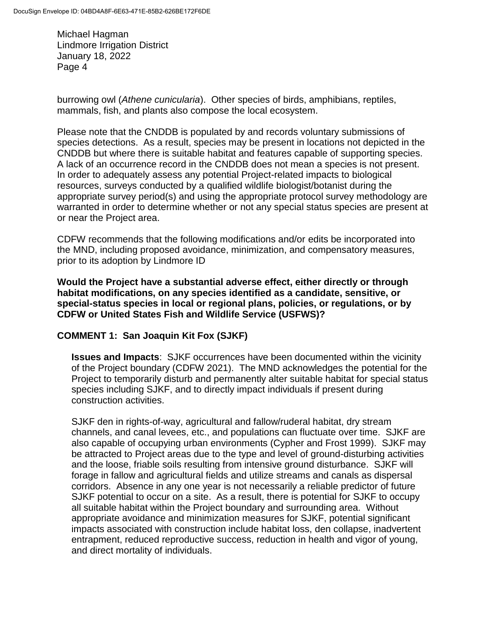burrowing owl (*Athene cunicularia*). Other species of birds, amphibians, reptiles, mammals, fish, and plants also compose the local ecosystem.

Please note that the CNDDB is populated by and records voluntary submissions of species detections. As a result, species may be present in locations not depicted in the CNDDB but where there is suitable habitat and features capable of supporting species. A lack of an occurrence record in the CNDDB does not mean a species is not present. In order to adequately assess any potential Project-related impacts to biological resources, surveys conducted by a qualified wildlife biologist/botanist during the appropriate survey period(s) and using the appropriate protocol survey methodology are warranted in order to determine whether or not any special status species are present at or near the Project area.

CDFW recommends that the following modifications and/or edits be incorporated into the MND, including proposed avoidance, minimization, and compensatory measures, prior to its adoption by Lindmore ID

**Would the Project have a substantial adverse effect, either directly or through habitat modifications, on any species identified as a candidate, sensitive, or special-status species in local or regional plans, policies, or regulations, or by CDFW or United States Fish and Wildlife Service (USFWS)?**

## **COMMENT 1: San Joaquin Kit Fox (SJKF)**

**Issues and Impacts**: SJKF occurrences have been documented within the vicinity of the Project boundary (CDFW 2021). The MND acknowledges the potential for the Project to temporarily disturb and permanently alter suitable habitat for special status species including SJKF, and to directly impact individuals if present during construction activities.

SJKF den in rights-of-way, agricultural and fallow/ruderal habitat, dry stream channels, and canal levees, etc., and populations can fluctuate over time. SJKF are also capable of occupying urban environments (Cypher and Frost 1999). SJKF may be attracted to Project areas due to the type and level of ground-disturbing activities and the loose, friable soils resulting from intensive ground disturbance. SJKF will forage in fallow and agricultural fields and utilize streams and canals as dispersal corridors. Absence in any one year is not necessarily a reliable predictor of future SJKF potential to occur on a site. As a result, there is potential for SJKF to occupy all suitable habitat within the Project boundary and surrounding area. Without appropriate avoidance and minimization measures for SJKF, potential significant impacts associated with construction include habitat loss, den collapse, inadvertent entrapment, reduced reproductive success, reduction in health and vigor of young, and direct mortality of individuals.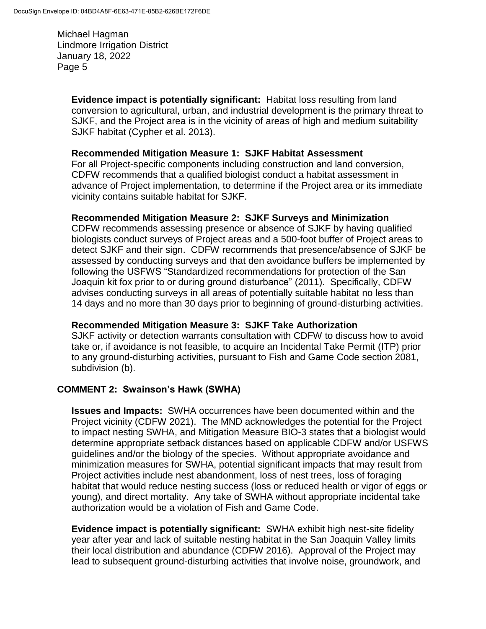> **Evidence impact is potentially significant:** Habitat loss resulting from land conversion to agricultural, urban, and industrial development is the primary threat to SJKF, and the Project area is in the vicinity of areas of high and medium suitability SJKF habitat (Cypher et al. 2013).

#### **Recommended Mitigation Measure 1: SJKF Habitat Assessment**

For all Project-specific components including construction and land conversion, CDFW recommends that a qualified biologist conduct a habitat assessment in advance of Project implementation, to determine if the Project area or its immediate vicinity contains suitable habitat for SJKF.

### **Recommended Mitigation Measure 2: SJKF Surveys and Minimization**

CDFW recommends assessing presence or absence of SJKF by having qualified biologists conduct surveys of Project areas and a 500-foot buffer of Project areas to detect SJKF and their sign. CDFW recommends that presence/absence of SJKF be assessed by conducting surveys and that den avoidance buffers be implemented by following the USFWS "Standardized recommendations for protection of the San Joaquin kit fox prior to or during ground disturbance" (2011). Specifically, CDFW advises conducting surveys in all areas of potentially suitable habitat no less than 14 days and no more than 30 days prior to beginning of ground-disturbing activities.

### **Recommended Mitigation Measure 3: SJKF Take Authorization**

SJKF activity or detection warrants consultation with CDFW to discuss how to avoid take or, if avoidance is not feasible, to acquire an Incidental Take Permit (ITP) prior to any ground-disturbing activities, pursuant to Fish and Game Code section 2081, subdivision (b).

### **COMMENT 2: Swainson's Hawk (SWHA)**

**Issues and Impacts:** SWHA occurrences have been documented within and the Project vicinity (CDFW 2021).The MND acknowledges the potential for the Project to impact nesting SWHA, and Mitigation Measure BIO-3 states that a biologist would determine appropriate setback distances based on applicable CDFW and/or USFWS guidelines and/or the biology of the species. Without appropriate avoidance and minimization measures for SWHA, potential significant impacts that may result from Project activities include nest abandonment, loss of nest trees, loss of foraging habitat that would reduce nesting success (loss or reduced health or vigor of eggs or young), and direct mortality. Any take of SWHA without appropriate incidental take authorization would be a violation of Fish and Game Code.

**Evidence impact is potentially significant:** SWHA exhibit high nest-site fidelity year after year and lack of suitable nesting habitat in the San Joaquin Valley limits their local distribution and abundance (CDFW 2016). Approval of the Project may lead to subsequent ground-disturbing activities that involve noise, groundwork, and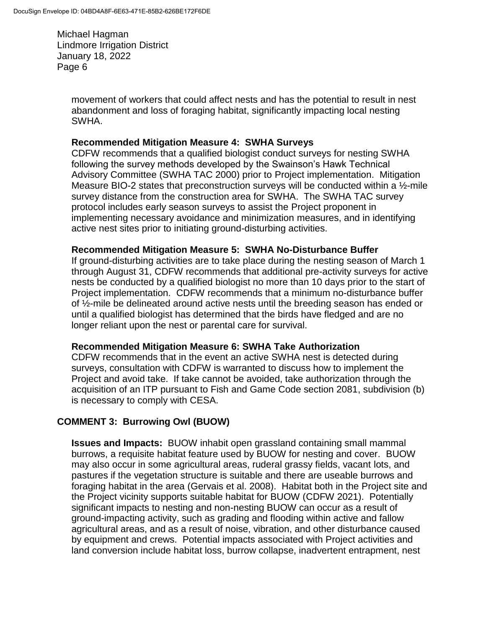> movement of workers that could affect nests and has the potential to result in nest abandonment and loss of foraging habitat, significantly impacting local nesting SWHA.

#### **Recommended Mitigation Measure 4: SWHA Surveys**

CDFW recommends that a qualified biologist conduct surveys for nesting SWHA following the survey methods developed by the Swainson's Hawk Technical Advisory Committee (SWHA TAC 2000) prior to Project implementation. Mitigation Measure BIO-2 states that preconstruction surveys will be conducted within a ½-mile survey distance from the construction area for SWHA. The SWHA TAC survey protocol includes early season surveys to assist the Project proponent in implementing necessary avoidance and minimization measures, and in identifying active nest sites prior to initiating ground-disturbing activities.

#### **Recommended Mitigation Measure 5: SWHA No-Disturbance Buffer**

If ground-disturbing activities are to take place during the nesting season of March 1 through August 31, CDFW recommends that additional pre-activity surveys for active nests be conducted by a qualified biologist no more than 10 days prior to the start of Project implementation. CDFW recommends that a minimum no-disturbance buffer of ½-mile be delineated around active nests until the breeding season has ended or until a qualified biologist has determined that the birds have fledged and are no longer reliant upon the nest or parental care for survival.

#### **Recommended Mitigation Measure 6: SWHA Take Authorization**

CDFW recommends that in the event an active SWHA nest is detected during surveys, consultation with CDFW is warranted to discuss how to implement the Project and avoid take. If take cannot be avoided, take authorization through the acquisition of an ITP pursuant to Fish and Game Code section 2081, subdivision (b) is necessary to comply with CESA.

### **COMMENT 3: Burrowing Owl (BUOW)**

**Issues and Impacts:** BUOW inhabit open grassland containing small mammal burrows, a requisite habitat feature used by BUOW for nesting and cover. BUOW may also occur in some agricultural areas, ruderal grassy fields, vacant lots, and pastures if the vegetation structure is suitable and there are useable burrows and foraging habitat in the area (Gervais et al. 2008). Habitat both in the Project site and the Project vicinity supports suitable habitat for BUOW (CDFW 2021). Potentially significant impacts to nesting and non-nesting BUOW can occur as a result of ground-impacting activity, such as grading and flooding within active and fallow agricultural areas, and as a result of noise, vibration, and other disturbance caused by equipment and crews. Potential impacts associated with Project activities and land conversion include habitat loss, burrow collapse, inadvertent entrapment, nest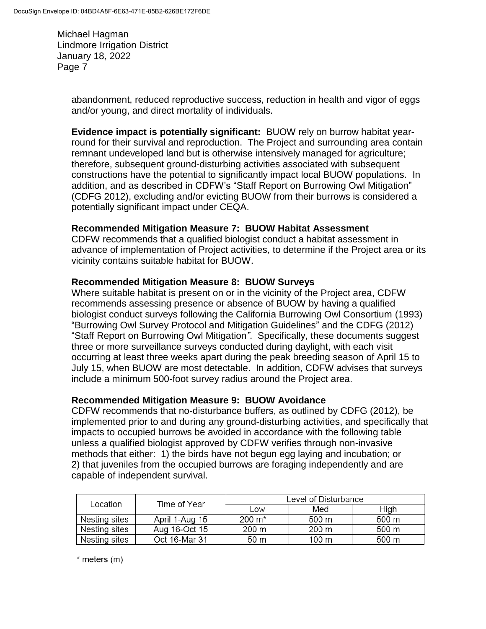> abandonment, reduced reproductive success, reduction in health and vigor of eggs and/or young, and direct mortality of individuals.

**Evidence impact is potentially significant:** BUOW rely on burrow habitat yearround for their survival and reproduction. The Project and surrounding area contain remnant undeveloped land but is otherwise intensively managed for agriculture; therefore, subsequent ground-disturbing activities associated with subsequent constructions have the potential to significantly impact local BUOW populations. In addition, and as described in CDFW's "Staff Report on Burrowing Owl Mitigation" (CDFG 2012), excluding and/or evicting BUOW from their burrows is considered a potentially significant impact under CEQA.

### **Recommended Mitigation Measure 7: BUOW Habitat Assessment**

CDFW recommends that a qualified biologist conduct a habitat assessment in advance of implementation of Project activities, to determine if the Project area or its vicinity contains suitable habitat for BUOW.

#### **Recommended Mitigation Measure 8: BUOW Surveys**

Where suitable habitat is present on or in the vicinity of the Project area, CDFW recommends assessing presence or absence of BUOW by having a qualified biologist conduct surveys following the California Burrowing Owl Consortium (1993) "Burrowing Owl Survey Protocol and Mitigation Guidelines" and the CDFG (2012) "Staff Report on Burrowing Owl Mitigation*"*. Specifically, these documents suggest three or more surveillance surveys conducted during daylight, with each visit occurring at least three weeks apart during the peak breeding season of April 15 to July 15, when BUOW are most detectable. In addition, CDFW advises that surveys include a minimum 500-foot survey radius around the Project area.

#### **Recommended Mitigation Measure 9: BUOW Avoidance**

CDFW recommends that no-disturbance buffers, as outlined by CDFG (2012), be implemented prior to and during any ground-disturbing activities, and specifically that impacts to occupied burrows be avoided in accordance with the following table unless a qualified biologist approved by CDFW verifies through non-invasive methods that either: 1) the birds have not begun egg laying and incubation; or 2) that juveniles from the occupied burrows are foraging independently and are capable of independent survival.

| Location      | Time of Year   | Level of Disturbance |                 |       |
|---------------|----------------|----------------------|-----------------|-------|
|               |                | Low                  | Med             | High  |
| Nesting sites | April 1-Aug 15 | $200 \; \text{m}^*$  | 500 m           | 500 m |
| Nesting sites | Aug 16-Oct 15  | 200 m                | 200 m           | 500 m |
| Nesting sites | Oct 16-Mar 31  | 50 m                 | $100 \text{ m}$ | 500 m |

 $*$  meters  $(m)$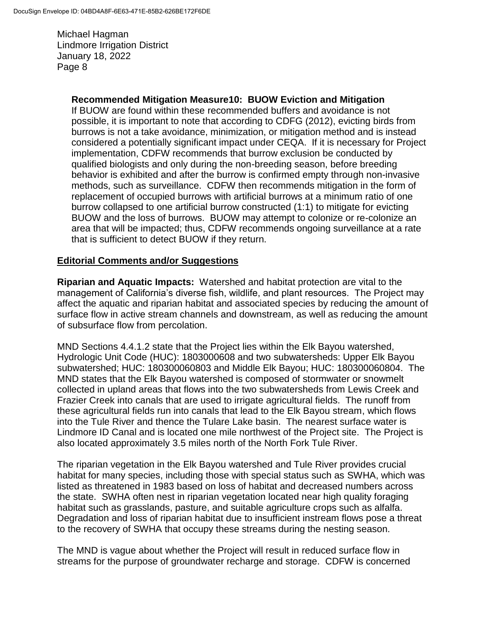#### **Recommended Mitigation Measure10: BUOW Eviction and Mitigation**

If BUOW are found within these recommended buffers and avoidance is not possible, it is important to note that according to CDFG (2012), evicting birds from burrows is not a take avoidance, minimization, or mitigation method and is instead considered a potentially significant impact under CEQA. If it is necessary for Project implementation, CDFW recommends that burrow exclusion be conducted by qualified biologists and only during the non-breeding season, before breeding behavior is exhibited and after the burrow is confirmed empty through non-invasive methods, such as surveillance. CDFW then recommends mitigation in the form of replacement of occupied burrows with artificial burrows at a minimum ratio of one burrow collapsed to one artificial burrow constructed (1:1) to mitigate for evicting BUOW and the loss of burrows. BUOW may attempt to colonize or re-colonize an area that will be impacted; thus, CDFW recommends ongoing surveillance at a rate that is sufficient to detect BUOW if they return.

#### **Editorial Comments and/or Suggestions**

**Riparian and Aquatic Impacts:** Watershed and habitat protection are vital to the management of California's diverse fish, wildlife, and plant resources. The Project may affect the aquatic and riparian habitat and associated species by reducing the amount of surface flow in active stream channels and downstream, as well as reducing the amount of subsurface flow from percolation.

MND Sections 4.4.1.2 state that the Project lies within the Elk Bayou watershed, Hydrologic Unit Code (HUC): 1803000608 and two subwatersheds: Upper Elk Bayou subwatershed; HUC: 180300060803 and Middle Elk Bayou; HUC: 180300060804. The MND states that the Elk Bayou watershed is composed of stormwater or snowmelt collected in upland areas that flows into the two subwatersheds from Lewis Creek and Frazier Creek into canals that are used to irrigate agricultural fields. The runoff from these agricultural fields run into canals that lead to the Elk Bayou stream, which flows into the Tule River and thence the Tulare Lake basin. The nearest surface water is Lindmore ID Canal and is located one mile northwest of the Project site. The Project is also located approximately 3.5 miles north of the North Fork Tule River.

The riparian vegetation in the Elk Bayou watershed and Tule River provides crucial habitat for many species, including those with special status such as SWHA, which was listed as threatened in 1983 based on loss of habitat and decreased numbers across the state. SWHA often nest in riparian vegetation located near high quality foraging habitat such as grasslands, pasture, and suitable agriculture crops such as alfalfa. Degradation and loss of riparian habitat due to insufficient instream flows pose a threat to the recovery of SWHA that occupy these streams during the nesting season.

The MND is vague about whether the Project will result in reduced surface flow in streams for the purpose of groundwater recharge and storage. CDFW is concerned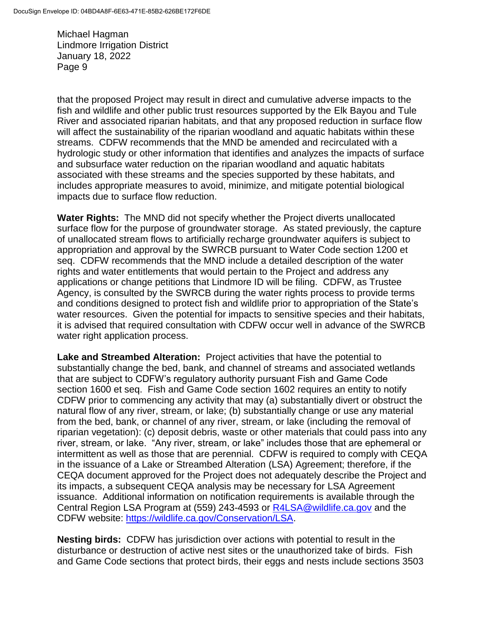that the proposed Project may result in direct and cumulative adverse impacts to the fish and wildlife and other public trust resources supported by the Elk Bayou and Tule River and associated riparian habitats, and that any proposed reduction in surface flow will affect the sustainability of the riparian woodland and aquatic habitats within these streams. CDFW recommends that the MND be amended and recirculated with a hydrologic study or other information that identifies and analyzes the impacts of surface and subsurface water reduction on the riparian woodland and aquatic habitats associated with these streams and the species supported by these habitats, and includes appropriate measures to avoid, minimize, and mitigate potential biological impacts due to surface flow reduction.

**Water Rights:** The MND did not specify whether the Project diverts unallocated surface flow for the purpose of groundwater storage. As stated previously, the capture of unallocated stream flows to artificially recharge groundwater aquifers is subject to appropriation and approval by the SWRCB pursuant to Water Code section 1200 et seq. CDFW recommends that the MND include a detailed description of the water rights and water entitlements that would pertain to the Project and address any applications or change petitions that Lindmore ID will be filing. CDFW, as Trustee Agency, is consulted by the SWRCB during the water rights process to provide terms and conditions designed to protect fish and wildlife prior to appropriation of the State's water resources. Given the potential for impacts to sensitive species and their habitats, it is advised that required consultation with CDFW occur well in advance of the SWRCB water right application process.

**Lake and Streambed Alteration:** Project activities that have the potential to substantially change the bed, bank, and channel of streams and associated wetlands that are subject to CDFW's regulatory authority pursuant Fish and Game Code section 1600 et seq. Fish and Game Code section 1602 requires an entity to notify CDFW prior to commencing any activity that may (a) substantially divert or obstruct the natural flow of any river, stream, or lake; (b) substantially change or use any material from the bed, bank, or channel of any river, stream, or lake (including the removal of riparian vegetation): (c) deposit debris, waste or other materials that could pass into any river, stream, or lake. "Any river, stream, or lake" includes those that are ephemeral or intermittent as well as those that are perennial. CDFW is required to comply with CEQA in the issuance of a Lake or Streambed Alteration (LSA) Agreement; therefore, if the CEQA document approved for the Project does not adequately describe the Project and its impacts, a subsequent CEQA analysis may be necessary for LSA Agreement issuance. Additional information on notification requirements is available through the Central Region LSA Program at (559) 243-4593 or [R4LSA@wildlife.ca.gov](mailto:R4LSA@wildlife.ca.gov) and the CDFW website: [https://wildlife.ca.gov/Conservation/LSA.](https://wildlife.ca.gov/Conservation/LSA)

**Nesting birds:** CDFW has jurisdiction over actions with potential to result in the disturbance or destruction of active nest sites or the unauthorized take of birds. Fish and Game Code sections that protect birds, their eggs and nests include sections 3503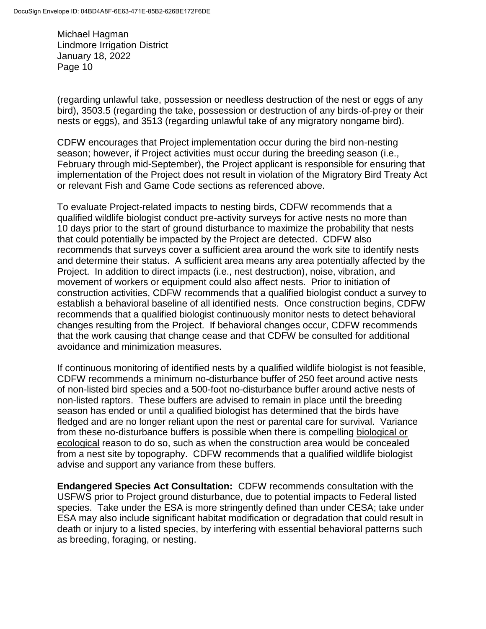(regarding unlawful take, possession or needless destruction of the nest or eggs of any bird), 3503.5 (regarding the take, possession or destruction of any birds-of-prey or their nests or eggs), and 3513 (regarding unlawful take of any migratory nongame bird).

CDFW encourages that Project implementation occur during the bird non-nesting season; however, if Project activities must occur during the breeding season (i.e., February through mid-September), the Project applicant is responsible for ensuring that implementation of the Project does not result in violation of the Migratory Bird Treaty Act or relevant Fish and Game Code sections as referenced above.

To evaluate Project-related impacts to nesting birds, CDFW recommends that a qualified wildlife biologist conduct pre-activity surveys for active nests no more than 10 days prior to the start of ground disturbance to maximize the probability that nests that could potentially be impacted by the Project are detected. CDFW also recommends that surveys cover a sufficient area around the work site to identify nests and determine their status. A sufficient area means any area potentially affected by the Project. In addition to direct impacts (i.e., nest destruction), noise, vibration, and movement of workers or equipment could also affect nests. Prior to initiation of construction activities, CDFW recommends that a qualified biologist conduct a survey to establish a behavioral baseline of all identified nests. Once construction begins, CDFW recommends that a qualified biologist continuously monitor nests to detect behavioral changes resulting from the Project. If behavioral changes occur, CDFW recommends that the work causing that change cease and that CDFW be consulted for additional avoidance and minimization measures.

If continuous monitoring of identified nests by a qualified wildlife biologist is not feasible, CDFW recommends a minimum no-disturbance buffer of 250 feet around active nests of non-listed bird species and a 500-foot no-disturbance buffer around active nests of non-listed raptors. These buffers are advised to remain in place until the breeding season has ended or until a qualified biologist has determined that the birds have fledged and are no longer reliant upon the nest or parental care for survival. Variance from these no-disturbance buffers is possible when there is compelling biological or ecological reason to do so, such as when the construction area would be concealed from a nest site by topography. CDFW recommends that a qualified wildlife biologist advise and support any variance from these buffers.

**Endangered Species Act Consultation:** CDFW recommends consultation with the USFWS prior to Project ground disturbance, due to potential impacts to Federal listed species. Take under the ESA is more stringently defined than under CESA; take under ESA may also include significant habitat modification or degradation that could result in death or injury to a listed species, by interfering with essential behavioral patterns such as breeding, foraging, or nesting.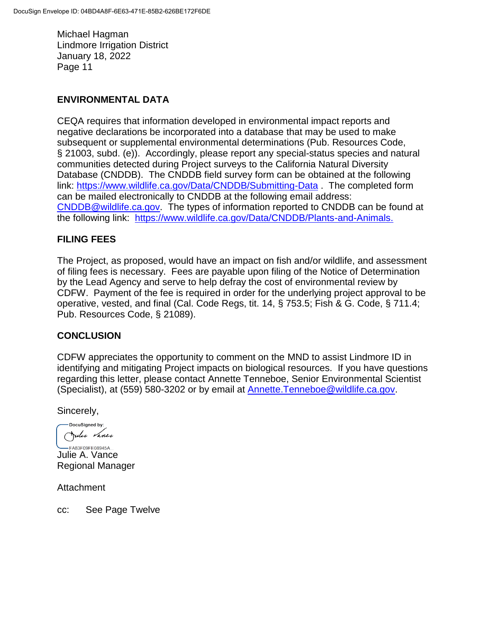### **ENVIRONMENTAL DATA**

CEQA requires that information developed in environmental impact reports and negative declarations be incorporated into a database that may be used to make subsequent or supplemental environmental determinations (Pub. Resources Code, § 21003, subd. (e)). Accordingly, please report any special-status species and natural communities detected during Project surveys to the California Natural Diversity Database (CNDDB). The CNDDB field survey form can be obtained at the following link:<https://www.wildlife.ca.gov/Data/CNDDB/Submitting-Data> . The completed form can be mailed electronically to CNDDB at the following email address: [CNDDB@wildlife.ca.gov.](mailto:cnddb@dfg.ca.gov) The types of information reported to CNDDB can be found at the following link: [https://www.wildlife.ca.gov/Data/CNDDB/Plants-and-Animals.](https://www.wildlife.ca.gov/Data/CNDDB/Plants-and-Animals)

### **FILING FEES**

The Project, as proposed, would have an impact on fish and/or wildlife, and assessment of filing fees is necessary. Fees are payable upon filing of the Notice of Determination by the Lead Agency and serve to help defray the cost of environmental review by CDFW. Payment of the fee is required in order for the underlying project approval to be operative, vested, and final (Cal. Code Regs, tit. 14, § 753.5; Fish & G. Code, § 711.4; Pub. Resources Code, § 21089).

#### **CONCLUSION**

CDFW appreciates the opportunity to comment on the MND to assist Lindmore ID in identifying and mitigating Project impacts on biological resources. If you have questions regarding this letter, please contact Annette Tenneboe, Senior Environmental Scientist (Specialist), at (559) 580-3202 or by email at [Annette.Tenneboe@wildlife.ca.gov.](mailto:Annette.Tenneboe@wildlife.ca.gov)

Sincerely,

DocuSigned by: Julie Vance

-FA83F09FE08945A... Julie A. Vance Regional Manager

Attachment

cc: See Page Twelve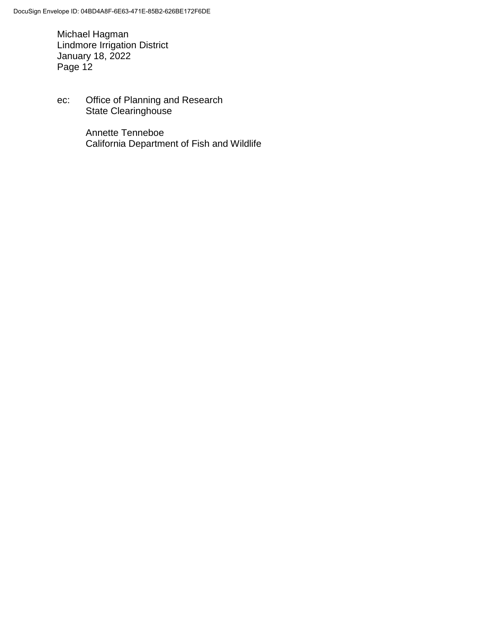ec: Office of Planning and Research State Clearinghouse

> Annette Tenneboe California Department of Fish and Wildlife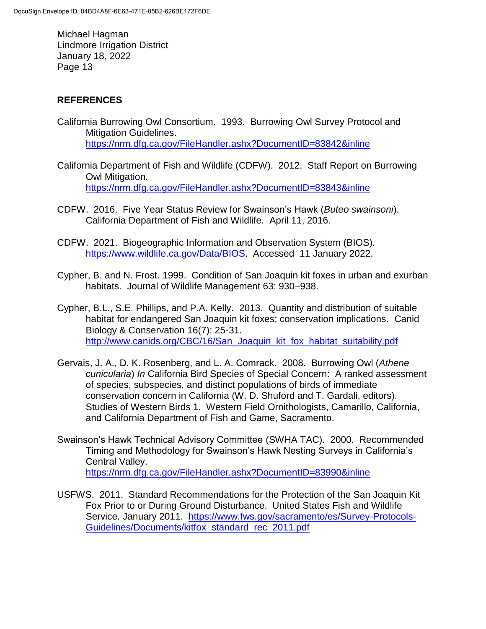## **REFERENCES**

- California Burrowing Owl Consortium. 1993. Burrowing Owl Survey Protocol and Mitigation Guidelines. <https://nrm.dfg.ca.gov/FileHandler.ashx?DocumentID=83842&inline>
- California Department of Fish and Wildlife (CDFW). 2012. Staff Report on Burrowing Owl Mitigation. <https://nrm.dfg.ca.gov/FileHandler.ashx?DocumentID=83843&inline>
- CDFW. 2016. Five Year Status Review for Swainson's Hawk (*Buteo swainsoni*). California Department of Fish and Wildlife. April 11, 2016.
- CDFW. 2021. Biogeographic Information and Observation System (BIOS). [https://www.wildlife.ca.gov/Data/BIOS.](https://www.wildlife.ca.gov/Data/BIOS) Accessed 11 January 2022.
- Cypher, B. and N. Frost. 1999. Condition of San Joaquin kit foxes in urban and exurban habitats. Journal of Wildlife Management 63: 930–938.
- Cypher, B.L., S.E. Phillips, and P.A. Kelly. 2013. Quantity and distribution of suitable habitat for endangered San Joaquin kit foxes: conservation implications. Canid Biology & Conservation 16(7): 25-31. [http://www.canids.org/CBC/16/San\\_Joaquin\\_kit\\_fox\\_habitat\\_suitability.pdf](http://www.canids.org/CBC/16/San_Joaquin_kit_fox_habitat_suitability.pdf)
- Gervais, J. A., D. K. Rosenberg, and L. A. Comrack. 2008. Burrowing Owl (*Athene cunicularia*) *In* California Bird Species of Special Concern: A ranked assessment of species, subspecies, and distinct populations of birds of immediate conservation concern in California (W. D. Shuford and T. Gardali, editors). Studies of Western Birds 1. Western Field Ornithologists, Camarillo, California, and California Department of Fish and Game, Sacramento.
- Swainson's Hawk Technical Advisory Committee (SWHA TAC). 2000. Recommended Timing and Methodology for Swainson's Hawk Nesting Surveys in California's Central Valley. <https://nrm.dfg.ca.gov/FileHandler.ashx?DocumentID=83990&inline>
- USFWS. 2011. Standard Recommendations for the Protection of the San Joaquin Kit Fox Prior to or During Ground Disturbance. United States Fish and Wildlife Service. January 2011. [https://www.fws.gov/sacramento/es/Survey-Protocols-](https://www.fws.gov/sacramento/es/Survey-Protocols-Guidelines/Documents/kitfox_standard_rec_2011.pdf)[Guidelines/Documents/kitfox\\_standard\\_rec\\_2011.pdf](https://www.fws.gov/sacramento/es/Survey-Protocols-Guidelines/Documents/kitfox_standard_rec_2011.pdf)